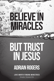# ELIEVETN **IRACLES**

do referenti romana di part

# **BUT TRUST** IN JESUS

# **ADRIAN ROGERS**

LOVE WORTH FINDING MINISTRIES

Memphis, Tennessee USA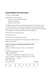#### BELIEVE IN MIRCACLES, BUT TRUST IN JESUS

© 1997 by Adrian Rogers

Published by Crossway Books a division of Good News Publishers 1300 Crescent Street Wheaton, Illinois 60187

All rights reserved. No part of this publication may be reproduced, stored in a retrieval system or transmitted in any form by any means, electronic, mechanical, photocopy, recording or otherwise, without the prior permission of the publisher, except as provided by USA copyright law.

Design: Eternity Communications

First printing. 1997

Printed in the United States of America

Unless otherwise indicated, Bible quotations are taken from the King James Version.

|                                                          |          |                   | Library of Congress Cataloging-in-Publication Data   |    |    |    |                 |    |   |    |               |          |
|----------------------------------------------------------|----------|-------------------|------------------------------------------------------|----|----|----|-----------------|----|---|----|---------------|----------|
| Rogers, Adrian.                                          |          |                   |                                                      |    |    |    |                 |    |   |    |               |          |
| Believe in miracles but trust in Jesus / Adrian Rogers.  |          |                   |                                                      |    |    |    |                 |    |   |    |               |          |
| p. cm.                                                   |          |                   |                                                      |    |    |    |                 |    |   |    |               |          |
| lnol, des bibliographica 1 references                    |          |                   |                                                      |    |    |    |                 |    |   |    |               |          |
| ISBN 0-89107-922-X                                       |          |                   |                                                      |    |    |    |                 |    |   |    |               |          |
| 1. Miracles 2. Christian life - Baptist authors 3. Jesus |          |                   |                                                      |    |    |    |                 |    |   |    |               |          |
|                                                          |          |                   | Christ—Miracles. 4. Bible NT. Gospel John—Criticism, |    |    |    |                 |    |   |    |               |          |
|                                                          |          |                   | interpretation, etc. I. Title.                       |    |    |    |                 |    |   |    |               |          |
|                                                          |          | BT97.2 R62 1997   |                                                      |    |    |    |                 |    |   |    |               |          |
|                                                          |          | $226.7'06 - DC21$ |                                                      |    |    |    |                 |    |   |    |               | 96-29651 |
| 05                                                       |          | 04                | 03                                                   |    | 02 | 01 | 00 <sup>2</sup> | 99 |   | 98 |               | 97       |
|                                                          | 15 14 13 |                   | 12                                                   | 11 | 10 | 9  | 8 7 6 5         |    | 4 | 3  | $\mathcal{L}$ |          |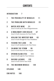# **CONTENTS**

## Introduction 7

| 1                      | THE POSSIBILITY OF MIRACLES<br>11                                                      |  |  |  |  |  |
|------------------------|----------------------------------------------------------------------------------------|--|--|--|--|--|
| $\overline{2}$         | THE PROBLEMS WITH MIRACLES<br>23                                                       |  |  |  |  |  |
| 3                      | <b>WATER INTO WINE</b><br>31<br>Jesus Is God's Joy for Your Disappointments            |  |  |  |  |  |
| 4                      | A NOBLEMAN'S SON HEALED<br>47<br>Jesus Is God's Assurance for Your Doubts              |  |  |  |  |  |
| 5                      | <b>HEALING THE IMPOTENT MAN</b><br>63<br>Jesus Is God's Strength for Your Disabilities |  |  |  |  |  |
| 6                      | <b>FEEDING THE 5,000</b><br>79<br>Jesus Is God's Satisfaction for Your Desire          |  |  |  |  |  |
| 7                      | <b>CALMING THE STORM</b><br>95<br>Jesus Is God's Peace for Your Despair                |  |  |  |  |  |
| 8                      | OPENING BLIND EYES<br>111<br>Jesus Is God's Light for Your Darkness                    |  |  |  |  |  |
| 9                      | RAISING LAZARUS<br>125<br>Jesus Is God's Life for Your Death                           |  |  |  |  |  |
| 10                     | THE MAXIMUM MIRACLE<br>139                                                             |  |  |  |  |  |
| <b>EPILOGUE</b><br>149 |                                                                                        |  |  |  |  |  |
| 160<br>END NOTES       |                                                                                        |  |  |  |  |  |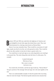## **INTRODUCTION**

B etween 1925 and 1963 one could drive the highways of America and read delightful red and white signs that dotted those roads. They were advertisements for a shaving cream known as Burma-Shave.

Some of you may remember these. There would be a succession of small signs, maybe one foot by two feet, set in the ground on sticks. They would be placed one after another in intervals of about a quarter-mile or so.

You would have to read each sign as you rode along before you would get to the punch line. The entire thing often took the form of a little poem. For example:

> A peach looks good With lots of fuzz. But a man is no peach And never wuz.

You would ride a bit further, and the last sign would say, "Burma-Shave!" You got a portion of the message with each sign, but it all came together at the end.

That is an understandable example of what the apostle John was doing when he wrote his Gospel. The beloved apostle selected seven miracles that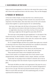bring as much encouragement to us who live in the twenty-first century as they did to those who experienced them in the first century. They are life-changing!

### A PARADE OF MIRACLES

At the end of John's Gospel, we learn that there was a selection process going on as far as his recording of Christ's miracles was concerned. By the inspiration of the Holy Spirit, John chose those seven of the Lord's miracles and put them together in a special sequence for our understanding:

And many other signs truly did Jesus in the presence of His disciples, which are not written in this book: but these are written, that ye might believe that Jesus is the Christ, the Son of God; and that believing ye might have life through His name (John 20:30-31).

The word *signs* in this passage has great significance. It is the plural of the Greek word *semeion*, which means a "miracle with a message" or a "miracle with a meaning." Not just a miracle at face value, but a miracle with a special lesson tied to it. It is a sign with special significance.

Dr. G. Campbell Morgan said that every parable Jesus spoke was a miracle of instruction and every miracle Jesus performed was a parable for instruction. I like that. There is meaning in these miracles John records.

Each of these seven miracles of Jesus shows not only His power over nature, but His redeeming power over sin, death, hell, and the grave.

These miracles point clearly to the wonderful truth that Jesus Christ is God's answer to our deepest needs. He is God's answer to your disappointments, doubts, disabilities, desires, despair, darkness, and death.

In this study we are going to learn to believe in miracles, but to trust in Jesus. We are going to learn that miracles of grace are greater than miracles of glory.

This book will affirm your faith in the supernatural. My prayer for you is that you will experience miracles in your life. But I would be disappointed if that is as far as you get. We need to go beyond miracles and go on to Jesus. When we receive Him and truly know His transforming power, we have experienced the ultimate miracle.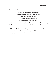As the song says:

It took a miracle to put the stars in place, It took a miracle to hang the world in space; But when He saved my soul, Cleansed and made me whole, It took a miracle of love and grace!

Bill Gaither once wrote a song that included these words: "There is a long parade of miracles, and it is led by a wonderful King." Indeed, that is so, and I am one of those miracles. Are you?

While I would not agree with that premise, I would say that a guilty conscience and other neWhile I would not agree with that premise, I would say that a guilty conscience and other ne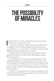# THE POSSIBILITY OF MIRACLES

have good news for you. There is nothing wrong with you that a miracle would not cure. All you need is a miracle.

**I** And I believe in miracles. I really do! Those who have problems with the possibility of miracles really have difficulty with the fact that there is a sovereign God. If one can accept Genesis 1:1 in the Bible, he should have little difficulty believing in the possibility of the miraculous.

God spoke, and the universe sprang into existence. Billions of galaxies spread across the black velvet of space. Planet Earth swung into space and began to teem with life.

It is unthinkable that the Creator, having such incredible power, should subsequently be unable to move miraculously upon His own creation. Is the clock stronger than the clockmaker? No indeed! God is not a helpless onlooker to the work of His hands. The psalmist declares, "The heavens are Thine, the earth also is Thine: as for the world and the fulness thereof, Thou hast founded them" (Psalm 89:11).

Dr. Robert G. Lee, a great preacher now in heaven, has rightly said, "God is not a bewildered bellhop running up and down the corridors of the hotel He created trying to find the right key."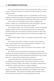God is not bounded by the laws of nature because there really are no laws of nature. What men call the laws of nature are in truth the laws of God that nature must obey.

Years ago I heard a delightful story Dr. Lee Scarbrough, one of the early presidents of Southwestern Baptist Theological Seminary and a great preacher of the Word. He was preaching about Jonah being swallowed by a great fish.

Later at home, Dr. Scarbrough's little son asked a straightforward question. "Daddy, do you really believe that a fish could swallow a man and keep the man alive inside for three days and three nights?"

The wise father replied, "Son, if God could make a man out of absolutely nothing to begin with, and if God could create the first sea creatures from absolutely nothing, don't you think He would have the power to make a fish that could swallow a man and keep him alive for three days and nights if He wanted to?"

The little fellow replied, "Well, if you're going to bring God into it, that's different<sup>"</sup>

Amen! That's what I believe. I believe in miracles because I believe in God. I would remind all of us of the angel's question to Abraham: "Is any thing too hard for the  $LORD?"$  (Genesis 18:14).

 I heard someone reply, "Well, I don't believe in God; therefore, I don't believe in miracles."

 But whoever says that must believe that nothing times nobody equals everything. The doubter must believe that in the beginning the heavens and the earth created themselves and then generated life spontaneously. Such a person believes in a colossal miracle without anyone to perform it.

 Anyone who adopts this as his belief should not pride himself on his intelligence. The greatest minds of all time have believed in a Creator. Socrates, Lord Bacon, Galileo, John Newton, Louis Pasteur, Albert Einstein, and Wernher von Braun all believed in a higher intelligence.

 It is impossible to believe in a sovereign God and not believe in miracles. Ignorance of God makes belief impossible, but knowledge of Him makes unbelief impossible. "Why should it be thought a thing incredible with you, that God should raise the dead?" Paul asked Agrippa (Acts 26:8).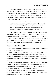What do we mean when we use the word *supernatural* to describe God and His works? *Supernatural* merely means "above nature." God is sovereign over nature. The law of gravity is overruled when a magnet picks up iron filings. The superior law of magnetism has taken over. In like fashion, the superior law of divine sovereignty overrules the lesser laws of nature. The patriarch Job said of God:

For He looketh to the ends of the earth, and seeth under the whole heaven; to make the weight for the winds; and He weigheth the waters by measure. When He made a decree for the rain, and a way for the lightning of the thunder: then did He see it, and declare it; He prepared it, yea, and searched it out (Job 28:24-27).

 We don't have to prove miracles. Christians really don't need proof, and an unbelieving world wouldn't accept it. We need not be afraid of science. Christians should enjoy and appreciate science even more than unbelievers.

 If a scientist has a good word to say about God and miracles, that should give us no more faith in miracles, but a little more confidence in the scientist. We do not need to defend or explain miracles. Let's just enjoy them.

### PRESENT-DAY MIRACLES

Beyond the clear statements of the biblical text, one would have to admit that miracles happen in present-day life.

 God still supernaturally heals the sick. Such a statement prompts raised eyebrows among many more reserved believers. These people have seen the excesses, manipulations, and frauds of the modern-day, so-called divine healing movement. They are so afraid of wildfire that they have settled for no fire.

 I have wondered what would happen in some of our cut-and-dried prayer meetings if God were to answer from heaven with a bona fide, industrialstrength miracle of healing right there on the spot. In some churches, it is all right to pray for healing just so long as nobody gets healed.

 Let me pause here to say that I, too, am aware of the charlatans and hucksters who parade up and down the land claiming to heal the sick. I will pay my respects to them later in this volume.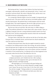But having said that, I must say that I believe God does heal today sovereignly, supernaturally, radically, and dramatically. In fact, I want to tell you about a precious friend. Her name is Marolyn Ford, and her story is an incredible testimony to the healing power of God.

 As a young lady, Marolyn began to lose her eyesight. It progressively got worse and worse. The doctor told her she had an irreversible problem called macular deterioration. He predicted that it would progress until she would be legally blind. This indeed happened. She lost her sight and had to go to a school for the blind and learn to tap with a cane and read Braille.

 But the story does not end there. She went away to a Bible college to study. The professors allowed her to take classes with a tape recorder. There, as a sightless young girl, she met a young ministerial student named Acie Ford. They fell in love, and this young preacher married a bride who was beautiful but could not see her bridegroom.

 God gave them a little baby. She could not see the face of her baby either. God gave them a wonderful church, and she knew her church members by voice but could not see their faces.

 Marolyn had prayed many times that she might be healed by miracle or medicine, but nothing seemed to help. One evening, she and her husband were driving home late at night and were discussing Marolyn's blindness. Acie talked to her about the impediment it was to the ministry and how wonderful it would be if God would heal her. Let Marolyn tell you what happened in her own words, taken from her book *These Blind Eyes Now See*:

 That evening both of us were exhausted. Acie picked up a religious periodical, and I climbed into bed. After reading a minute, Acie put the magazine down, got on his knees for our nightly devotion, and began praying.

 We both began to cry as he prayed with great feeling and boldness: "Oh, God! You can restore Marolyn's eyesight tonight, Lord. I know You can do it! And, God, if it be Your will, I pray You will do it tonight." Perhaps neither of us was quite prepared for what happened. After 12 blurred and dark years, there was sharpness and light.

"Acie, I can see!" I exclaimed.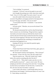"You're kidding," he answered.

I repeated, "I can see! I can see the pupils in your eyes!"

 Acie thought that perhaps just a little vision had come back. I said, "Acie, it's 12:30 at night! You need a shave! I can see!"

 Acie still couldn't believe the miracle that had really occurred. He grabbed a newspaper pointed to the large print at the top of the page, and asked, "Can you see this?"

 "I can do better than that!" I exclaimed. "I can read the smaller print!"

 Acie got excited. "Marolyn, can you see the dresser? Can you see the bed?"

 We shouted and praised the Lord for what He had done! Such a miracle was overwhelming. Things had been rough for Acie lately as he tried to keep up with both his church work and his sales job. He had nearly reached his limit that evening when the miracle happened. We knew that God was able, but we couldn't comprehend that something so wonderful and miraculous had happened to us.

 Jumping off the bed, Acie asked the question again, "Marolyn, you can see?"

"Yes!"

 "Praise God! Praise God! Praise God! Glory, glory, glory to God! It can't be!" Acie exclaimed.

 We were beside ourselves with happiness. "This is heaven!" Acie shouted. "It has to be! Oh, God, why did I doubt You?"

 Then he turned to me. "Why did I doubt God? I didn't believe He could do something like this! He did it!"

Psalm 116:12—"What shall I render unto the LORD for all His benefits toward me?"—came to Acie's mind. We were jumping up and down and crying at the same time. I was getting my first look at my husband. For the first time, I could see his face, his eyes, his nose, his mouth. I could see!

 I ran to look in the mirror. I could hardly believe how my facial features had changed. I had become blind at 19; now I was 31. I kept taking a second look . . .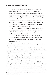We reached for the phone to call our parents. When the phone rang at my parents' home in Michigan, Mother was awake—she had not been able to sleep that night. For years she had been burdened with the thought of my blindness and her own helplessness in not being able to do anything about it. How happy our news made her! She rejoiced with us over the telephone lines. I asked her to share the news with the others in my family who lived in Holland, Michigan, and with my twin sister in New York.

 Acie dialed his parents, and his mother sleepily answered. Acie shouted, "Mother, Marolyn can see!"

 Mom Ford had been awakened in the middle of the night by a son too excited to speak calmly. She asked, "Is everything all right?" But Acie could only repeat over and over, "Marolyn can see! Marolyn can see! She can see!"

 We tried to explain to Mom and Dad Ford, but we had so little time. There were many other phone calls to make. We wanted to run down the street at 1 a.m. and shout that I was blind, but now I see! $1$ 

 The director of the school for the blind said she should go to the doctor and let him confirm this miracle.

 The doctor who had examined her before in her blindness put the eye charts in front of her. She read them with ease. He said to her, "I cannot doubt or deny that you can see. Now let me look into your eyes."

 When he did, he gave a gasp. He said, "I don't understand it. There is really no change. A portion of your eyes are like a mirror that had the quicksilver scraped off." He said it was a bigger miracle than he would have believed. "It is impossible for you to see, and yet you see."

 In the years since then, Marolyn has crossed America giving her testimony. It has blessed and strengthened thousands. She does not believe it is always God's will to heal, but she cannot deny what God has done for her.

 I am blessed constantly when I am around this humble and dedicated couple who have seen God do a miracle. To look into Marolyn's beautiful blue eyes gives one the feeling that he is seeing with his own eyes an undeniable, supernatural work of God.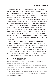Another incident of God's sovereign power comes to mind. We were in Moscow, Russia, during the Orthodox Easter. An elaborate sound stage had been constructed in Red Square by Campus Crusade for Christ. There was to be a concert and then a Gospel presentation. Many thousands had gathered, and the service was to be telecast throughout all Russia.

 I was praying with Dr. Bill Bright, the founder of Campus Crusade, when a messenger came with the news, "It's raining. Because power lines are down everywhere, the government officials say that we must shut down the event."

 "We can't do that. Too much money, time, and faith have been invested," Bill Bright said. The leadership of our event pleaded with the officials for just ten more minutes to give the rain time to stop. It looked impossible. Gray clouds covered the sky over the Kremlin. The cold rain fell on our heads.

 A group of prayer warriors huddled under a scaffold and began to sing and pray. I can hear them now and see them in my memory as they looked up into the face of those threatening clouds and called out, "Stop the rain, Lord, stop the rain!"

 I testify to you that in nine and a half minutes an amazing thing happened. It seemed as if a giant squeegee were drawn across the sky. A blazing sun began to smile from an azure sky. Our God had answered prayer. The program that followed had another touch of His mighty power.

 We rejoice in these kinds of stories. We must admit that God heals by miracle, and also by medicine and other natural means as it seems wise to Him. Sometimes He heals instantaneously, sometimes over long periods of time. And if we are twice born, we know that He always heals in eternity.

#### MIRACI ES OF PROVIDENCE

 Not only are there miracles of healing and wonders in nature; there are miracles of God's providential guidance.

 I personally have experienced what I would call miraculous answers to prayer. Some of our prayer answers might be dismissed as mere coincidence, but indeed some cannot.

 In one such instance, I had lost my billfold—where and how I knew not. A lost billfold is aggravating, to say the least. Over and over, I mentally and physically retraced my steps.